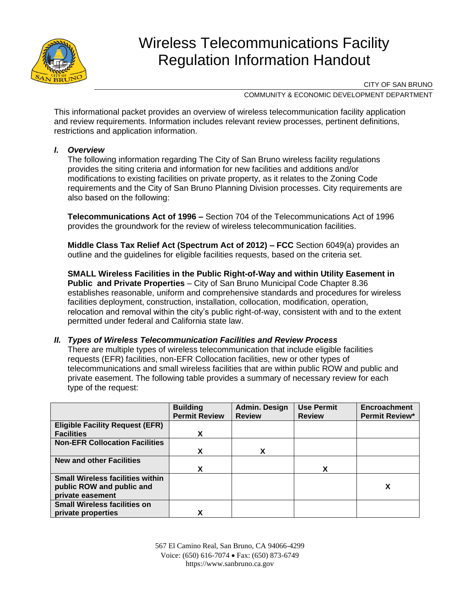

# Wireless Telecommunications Facility Regulation Information Handout

CITY OF SAN BRUNO

COMMUNITY & ECONOMIC DEVELOPMENT DEPARTMENT

This informational packet provides an overview of wireless telecommunication facility application and review requirements. Information includes relevant review processes, pertinent definitions, restrictions and application information.

#### *I. Overview*

The following information regarding The City of San Bruno wireless facility regulations provides the siting criteria and information for new facilities and additions and/or modifications to existing facilities on private property, as it relates to the Zoning Code requirements and the City of San Bruno Planning Division processes. City requirements are also based on the following:

**Telecommunications Act of 1996 –** Section 704 of the Telecommunications Act of 1996 provides the groundwork for the review of wireless telecommunication facilities.

**Middle Class Tax Relief Act (Spectrum Act of 2012) – FCC** Section 6049(a) provides an outline and the guidelines for eligible facilities requests, based on the criteria set.

**SMALL Wireless Facilities in the Public Right-of-Way and within Utility Easement in Public and Private Properties** – City of San Bruno Municipal Code Chapter 8.36 establishes reasonable, uniform and comprehensive standards and procedures for wireless facilities deployment, construction, installation, collocation, modification, operation, relocation and removal within the city's public right-of-way, consistent with and to the extent permitted under federal and California state law.

#### *II. Types of Wireless Telecommunication Facilities and Review Process*

There are multiple types of wireless telecommunication that include eligible facilities requests (EFR) facilities, non-EFR Collocation facilities, new or other types of telecommunications and small wireless facilities that are within public ROW and public and private easement. The following table provides a summary of necessary review for each type of the request:

|                                         | <b>Building</b><br><b>Permit Review</b> | Admin. Design<br><b>Review</b> | <b>Use Permit</b><br><b>Review</b> | <b>Encroachment</b><br><b>Permit Review*</b> |
|-----------------------------------------|-----------------------------------------|--------------------------------|------------------------------------|----------------------------------------------|
| <b>Eligible Facility Request (EFR)</b>  |                                         |                                |                                    |                                              |
| <b>Facilities</b>                       | X                                       |                                |                                    |                                              |
| <b>Non-EFR Collocation Facilities</b>   |                                         |                                |                                    |                                              |
|                                         | X                                       | X                              |                                    |                                              |
| <b>New and other Facilities</b>         |                                         |                                |                                    |                                              |
|                                         | X                                       |                                | X                                  |                                              |
| <b>Small Wireless facilities within</b> |                                         |                                |                                    |                                              |
| public ROW and public and               |                                         |                                |                                    | χ                                            |
| private easement                        |                                         |                                |                                    |                                              |
| <b>Small Wireless facilities on</b>     |                                         |                                |                                    |                                              |
| private properties                      | χ                                       |                                |                                    |                                              |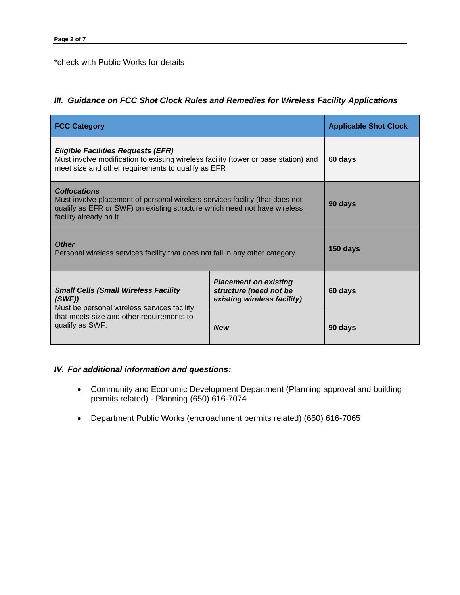#### \*check with Public Works for details

## *III. Guidance on FCC Shot Clock Rules and Remedies for Wireless Facility Applications*

| <b>FCC Category</b>                                                                                                                                                                                        | <b>Applicable Shot Clock</b>                                                          |         |
|------------------------------------------------------------------------------------------------------------------------------------------------------------------------------------------------------------|---------------------------------------------------------------------------------------|---------|
| <b>Eligible Facilities Requests (EFR)</b><br>Must involve modification to existing wireless facility (tower or base station) and<br>meet size and other requirements to qualify as EFR                     | 60 days                                                                               |         |
| <b>Collocations</b><br>Must involve placement of personal wireless services facility (that does not<br>qualify as EFR or SWF) on existing structure which need not have wireless<br>facility already on it |                                                                                       | 90 days |
| <b>Other</b><br>Personal wireless services facility that does not fall in any other category                                                                                                               | 150 days                                                                              |         |
| <b>Small Cells (Small Wireless Facility</b><br>(SWF)<br>Must be personal wireless services facility                                                                                                        | <b>Placement on existing</b><br>structure (need not be<br>existing wireless facility) | 60 days |
| that meets size and other requirements to<br>qualify as SWF.                                                                                                                                               | <b>New</b>                                                                            | 90 days |

## *IV. For additional information and questions:*

- Community and Economic Development Department (Planning approval and building permits related) - Planning (650) 616-7074
- Department Public Works (encroachment permits related) (650) 616-7065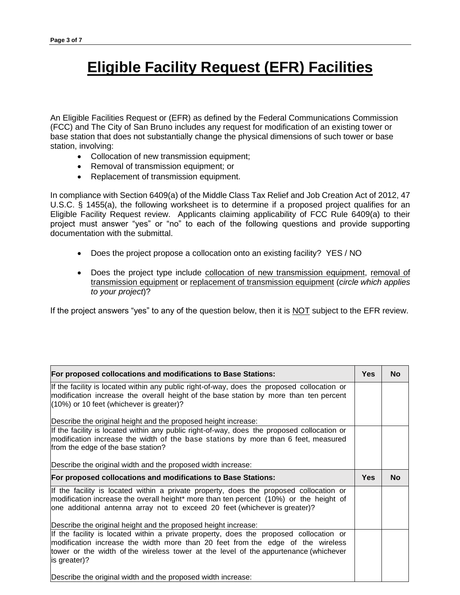# **Eligible Facility Request (EFR) Facilities**

An Eligible Facilities Request or (EFR) as defined by the Federal Communications Commission (FCC) and The City of San Bruno includes any request for modification of an existing tower or base station that does not substantially change the physical dimensions of such tower or base station, involving:

- Collocation of new transmission equipment;
- Removal of transmission equipment; or
- Replacement of transmission equipment.

In compliance with Section 6409(a) of the Middle Class Tax Relief and Job Creation Act of 2012, 47 U.S.C. § 1455(a), the following worksheet is to determine if a proposed project qualifies for an Eligible Facility Request review. Applicants claiming applicability of FCC Rule 6409(a) to their project must answer "yes" or "no" to each of the following questions and provide supporting documentation with the submittal.

- Does the project propose a collocation onto an existing facility? YES / NO
- Does the project type include collocation of new transmission equipment, removal of transmission equipment or replacement of transmission equipment (*circle which applies to your project*)?

If the project answers "yes" to any of the question below, then it is NOT subject to the EFR review.

| For proposed collocations and modifications to Base Stations:                                                                                                                                                                                                                                                                    |  |           |
|----------------------------------------------------------------------------------------------------------------------------------------------------------------------------------------------------------------------------------------------------------------------------------------------------------------------------------|--|-----------|
| If the facility is located within any public right-of-way, does the proposed collocation or<br>modification increase the overall height of the base station by more than ten percent<br>(10%) or 10 feet (whichever is greater)?                                                                                                 |  |           |
| Describe the original height and the proposed height increase:                                                                                                                                                                                                                                                                   |  |           |
| If the facility is located within any public right-of-way, does the proposed collocation or<br>modification increase the width of the base stations by more than 6 feet, measured<br>from the edge of the base station?                                                                                                          |  |           |
| Describe the original width and the proposed width increase:                                                                                                                                                                                                                                                                     |  |           |
| For proposed collocations and modifications to Base Stations:                                                                                                                                                                                                                                                                    |  | <b>No</b> |
| If the facility is located within a private property, does the proposed collocation or<br>modification increase the overall height* more than ten percent (10%) or the height of<br>one additional antenna array not to exceed 20 feet (whichever is greater)?<br>Describe the original height and the proposed height increase: |  |           |
| If the facility is located within a private property, does the proposed collocation or<br>modification increase the width more than 20 feet from the edge of the wireless<br>tower or the width of the wireless tower at the level of the appurtenance (whichever<br>is greater)?                                                |  |           |
| Describe the original width and the proposed width increase:                                                                                                                                                                                                                                                                     |  |           |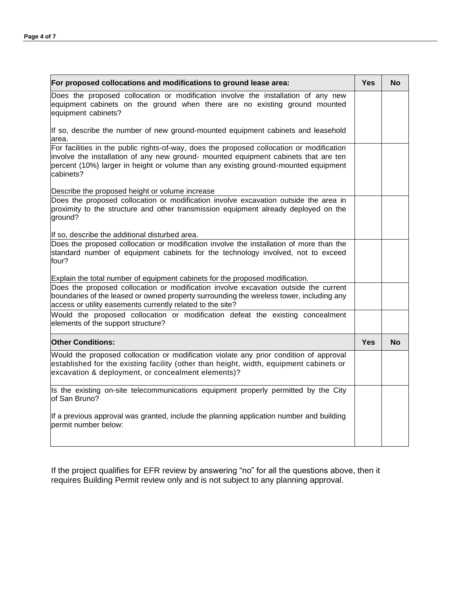| For proposed collocations and modifications to ground lease area:                                                                                                                                                                                                                    |            |           |  |
|--------------------------------------------------------------------------------------------------------------------------------------------------------------------------------------------------------------------------------------------------------------------------------------|------------|-----------|--|
| Does the proposed collocation or modification involve the installation of any new<br>equipment cabinets on the ground when there are no existing ground mounted<br>equipment cabinets?                                                                                               |            |           |  |
| If so, describe the number of new ground-mounted equipment cabinets and leasehold<br>area.                                                                                                                                                                                           |            |           |  |
| For facilities in the public rights-of-way, does the proposed collocation or modification<br>involve the installation of any new ground- mounted equipment cabinets that are ten<br>percent (10%) larger in height or volume than any existing ground-mounted equipment<br>cabinets? |            |           |  |
| Describe the proposed height or volume increase                                                                                                                                                                                                                                      |            |           |  |
| Does the proposed collocation or modification involve excavation outside the area in<br>proximity to the structure and other transmission equipment already deployed on the<br>ground?                                                                                               |            |           |  |
| If so, describe the additional disturbed area.                                                                                                                                                                                                                                       |            |           |  |
| Does the proposed collocation or modification involve the installation of more than the<br>standard number of equipment cabinets for the technology involved, not to exceed<br>four?                                                                                                 |            |           |  |
| Explain the total number of equipment cabinets for the proposed modification.                                                                                                                                                                                                        |            |           |  |
| Does the proposed collocation or modification involve excavation outside the current<br>boundaries of the leased or owned property surrounding the wireless tower, including any<br>access or utility easements currently related to the site?                                       |            |           |  |
| Would the proposed collocation or modification defeat the existing concealment<br>elements of the support structure?                                                                                                                                                                 |            |           |  |
| <b>Other Conditions:</b>                                                                                                                                                                                                                                                             | <b>Yes</b> | <b>No</b> |  |
| Would the proposed collocation or modification violate any prior condition of approval<br>established for the existing facility (other than height, width, equipment cabinets or<br>excavation & deployment, or concealment elements)?                                               |            |           |  |
| Is the existing on-site telecommunications equipment properly permitted by the City<br>of San Bruno?                                                                                                                                                                                 |            |           |  |
| If a previous approval was granted, include the planning application number and building<br>permit number below:                                                                                                                                                                     |            |           |  |
|                                                                                                                                                                                                                                                                                      |            |           |  |

If the project qualifies for EFR review by answering "no" for all the questions above, then it requires Building Permit review only and is not subject to any planning approval.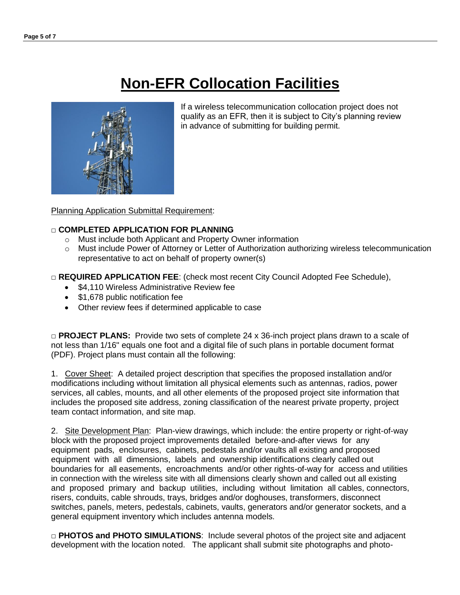# **Non-EFR Collocation Facilities**



If a wireless telecommunication collocation project does not qualify as an EFR, then it is subject to City's planning review in advance of submitting for building permit.

Planning Application Submittal Requirement:

### □ **COMPLETED APPLICATION FOR PLANNING**

- o Must include both Applicant and Property Owner information
- o Must include Power of Attorney or Letter of Authorization authorizing wireless telecommunication representative to act on behalf of property owner(s)

□ **REQUIRED APPLICATION FEE**: (check most recent City Council Adopted Fee Schedule),

- \$4,110 Wireless Administrative Review fee
- \$1,678 public notification fee
- Other review fees if determined applicable to case

□ **PROJECT PLANS:** Provide two sets of complete 24 x 36-inch project plans drawn to a scale of not less than 1/16" equals one foot and a digital file of such plans in portable document format (PDF). Project plans must contain all the following:

1. Cover Sheet: A detailed project description that specifies the proposed installation and/or modifications including without limitation all physical elements such as antennas, radios, power services, all cables, mounts, and all other elements of the proposed project site information that includes the proposed site address, zoning classification of the nearest private property, project team contact information, and site map.

2. Site Development Plan: Plan-view drawings, which include: the entire property or right-of-way block with the proposed project improvements detailed before-and-after views for any equipment pads, enclosures, cabinets, pedestals and/or vaults all existing and proposed equipment with all dimensions, labels and ownership identifications clearly called out boundaries for all easements, encroachments and/or other rights-of-way for access and utilities in connection with the wireless site with all dimensions clearly shown and called out all existing and proposed primary and backup utilities, including without limitation all cables, connectors, risers, conduits, cable shrouds, trays, bridges and/or doghouses, transformers, disconnect switches, panels, meters, pedestals, cabinets, vaults, generators and/or generator sockets, and a general equipment inventory which includes antenna models.

□ **PHOTOS and PHOTO SIMULATIONS**: Include several photos of the project site and adjacent development with the location noted. The applicant shall submit site photographs and photo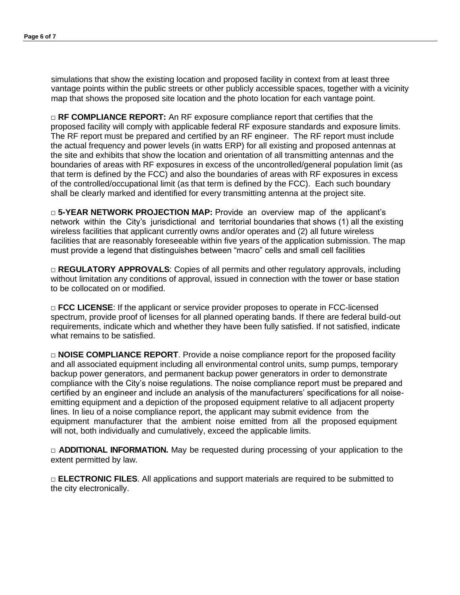simulations that show the existing location and proposed facility in context from at least three vantage points within the public streets or other publicly accessible spaces, together with a vicinity map that shows the proposed site location and the photo location for each vantage point.

□ **RF COMPLIANCE REPORT:** An RF exposure compliance report that certifies that the proposed facility will comply with applicable federal RF exposure standards and exposure limits. The RF report must be prepared and certified by an RF engineer. The RF report must include the actual frequency and power levels (in watts ERP) for all existing and proposed antennas at the site and exhibits that show the location and orientation of all transmitting antennas and the boundaries of areas with RF exposures in excess of the uncontrolled/general population limit (as that term is defined by the FCC) and also the boundaries of areas with RF exposures in excess of the controlled/occupational limit (as that term is defined by the FCC). Each such boundary shall be clearly marked and identified for every transmitting antenna at the project site.

□ 5-YEAR NETWORK PROJECTION MAP: Provide an overview map of the applicant's network within the City's jurisdictional and territorial boundaries that shows (1) all the existing wireless facilities that applicant currently owns and/or operates and (2) all future wireless facilities that are reasonably foreseeable within five years of the application submission. The map must provide a legend that distinguishes between "macro" cells and small cell facilities

□ **REGULATORY APPROVALS:** Copies of all permits and other regulatory approvals, including without limitation any conditions of approval, issued in connection with the tower or base station to be collocated on or modified.

□ **FCC LICENSE**: If the applicant or service provider proposes to operate in FCC-licensed spectrum, provide proof of licenses for all planned operating bands. If there are federal build-out requirements, indicate which and whether they have been fully satisfied. If not satisfied, indicate what remains to be satisfied.

□ **NOISE COMPLIANCE REPORT**. Provide a noise compliance report for the proposed facility and all associated equipment including all environmental control units, sump pumps, temporary backup power generators, and permanent backup power generators in order to demonstrate compliance with the City's noise regulations. The noise compliance report must be prepared and certified by an engineer and include an analysis of the manufacturers' specifications for all noiseemitting equipment and a depiction of the proposed equipment relative to all adjacent property lines. In lieu of a noise compliance report, the applicant may submit evidence from the equipment manufacturer that the ambient noise emitted from all the proposed equipment will not, both individually and cumulatively, exceed the applicable limits.

□ **ADDITIONAL INFORMATION.** May be requested during processing of your application to the extent permitted by law.

□ **ELECTRONIC FILES**. All applications and support materials are required to be submitted to the city electronically.